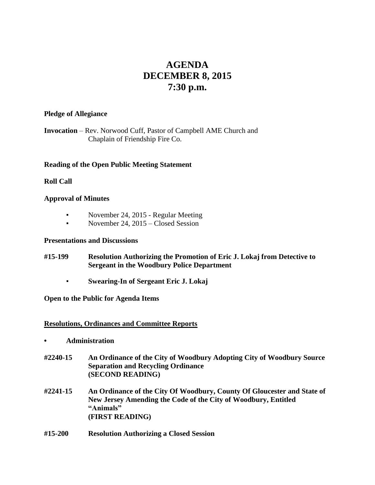# **AGENDA DECEMBER 8, 2015 7:30 p.m.**

#### **Pledge of Allegiance**

**Invocation** – Rev. Norwood Cuff, Pastor of Campbell AME Church and Chaplain of Friendship Fire Co.

## **Reading of the Open Public Meeting Statement**

# **Roll Call**

# **Approval of Minutes**

- November 24, 2015 Regular Meeting
- November 24, 2015 Closed Session

#### **Presentations and Discussions**

- **#15-199 Resolution Authorizing the Promotion of Eric J. Lokaj from Detective to Sergeant in the Woodbury Police Department**
	- **Swearing-In of Sergeant Eric J. Lokaj**

## **Open to the Public for Agenda Items**

## **Resolutions, Ordinances and Committee Reports**

- **• Administration**
- **#2240-15 An Ordinance of the City of Woodbury Adopting City of Woodbury Source Separation and Recycling Ordinance (SECOND READING)**
- **#2241-15 An Ordinance of the City Of Woodbury, County Of Gloucester and State of New Jersey Amending the Code of the City of Woodbury, Entitled "Animals" (FIRST READING)**
- **#15-200 Resolution Authorizing a Closed Session**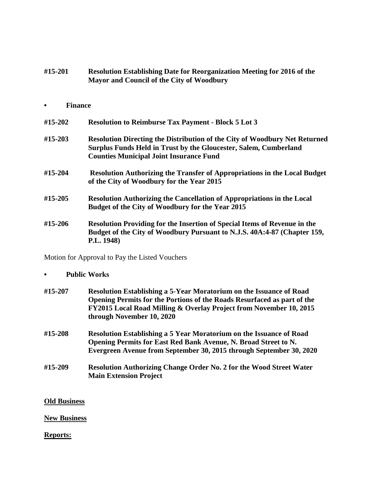| #15-201 | <b>Resolution Establishing Date for Reorganization Meeting for 2016 of the</b> |
|---------|--------------------------------------------------------------------------------|
|         | Mayor and Council of the City of Woodbury                                      |

#### **• Finance**

| #15-202 | <b>Resolution to Reimburse Tax Payment - Block 5 Lot 3</b>                                                                                                                                              |
|---------|---------------------------------------------------------------------------------------------------------------------------------------------------------------------------------------------------------|
| #15-203 | <b>Resolution Directing the Distribution of the City of Woodbury Net Returned</b><br>Surplus Funds Held in Trust by the Gloucester, Salem, Cumberland<br><b>Counties Municipal Joint Insurance Fund</b> |
| #15-204 | <b>Resolution Authorizing the Transfer of Appropriations in the Local Budget</b><br>of the City of Woodbury for the Year 2015                                                                           |
| #15-205 | <b>Resolution Authorizing the Cancellation of Appropriations in the Local</b><br>Budget of the City of Woodbury for the Year 2015                                                                       |
| #15-206 | <b>Resolution Providing for the Insertion of Special Items of Revenue in the</b><br>Budget of the City of Woodbury Pursuant to N.J.S. 40A:4-87 (Chapter 159,<br>P.L. 1948)                              |

Motion for Approval to Pay the Listed Vouchers

## **• Public Works**

- **#15-207 Resolution Establishing a 5-Year Moratorium on the Issuance of Road Opening Permits for the Portions of the Roads Resurfaced as part of the FY2015 Local Road Milling & Overlay Project from November 10, 2015 through November 10, 2020**
- **#15-208 Resolution Establishing a 5 Year Moratorium on the Issuance of Road Opening Permits for East Red Bank Avenue, N. Broad Street to N. Evergreen Avenue from September 30, 2015 through September 30, 2020**
- **#15-209 Resolution Authorizing Change Order No. 2 for the Wood Street Water Main Extension Project**

## **Old Business**

## **New Business**

## **Reports:**